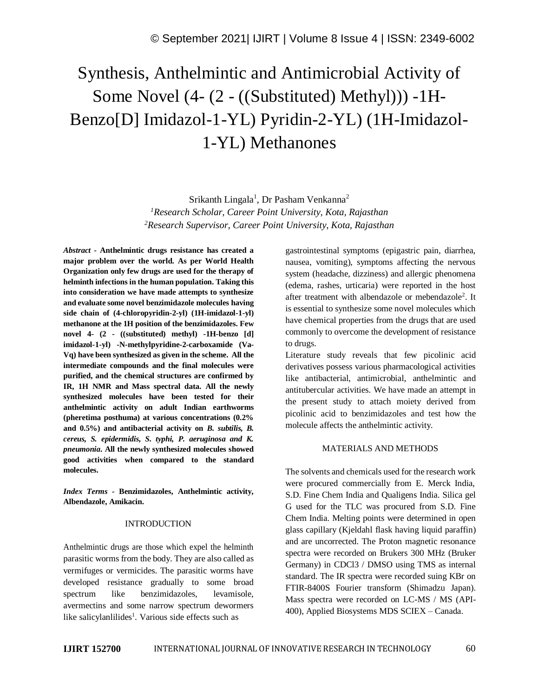# Synthesis, Anthelmintic and Antimicrobial Activity of Some Novel (4- (2 - ((Substituted) Methyl))) -1H-Benzo[D] Imidazol-1-YL) Pyridin-2-YL) (1H-Imidazol-1-YL) Methanones

Srikanth Lingala<sup>1</sup>, Dr Pasham Venkanna<sup>2</sup> *<sup>1</sup>Research Scholar, Career Point University, Kota, Rajasthan <sup>2</sup>Research Supervisor, Career Point University, Kota, Rajasthan*

*Abstract -* **Anthelmintic drugs resistance has created a major problem over the world. As per World Health Organization only few drugs are used for the therapy of helminth infectionsin the human population. Taking this into consideration we have made attempts to synthesize and evaluate some novel benzimidazole molecules having side chain of (4-chloropyridin-2-yl) (1H-imidazol-1-yl) methanone at the 1H position of the benzimidazoles. Few novel 4- (2 - ((substituted) methyl) -1H-benzo [d] imidazol-1-yl) -N-methylpyridine-2-carboxamide (Va-Vq) have been synthesized as given in the scheme. All the intermediate compounds and the final molecules were purified, and the chemical structures are confirmed by IR, 1H NMR and Mass spectral data. All the newly synthesized molecules have been tested for their anthelmintic activity on adult Indian earthworms (pheretima posthuma) at various concentrations (0.2% and 0.5%) and antibacterial activity on** *B. subtilis, B. cereus, S. epidermidis, S. typhi, P. aeruginosa and K. pneumonia***. All the newly synthesized molecules showed good activities when compared to the standard molecules.**

*Index Terms -* **Benzimidazoles, Anthelmintic activity, Albendazole, Amikacin.**

#### INTRODUCTION

Anthelmintic drugs are those which expel the helminth parasitic worms from the body. They are also called as vermifuges or vermicides. The parasitic worms have developed resistance gradually to some broad spectrum like benzimidazoles, levamisole, avermectins and some narrow spectrum dewormers like salicylanlilides<sup>1</sup>. Various side effects such as

gastrointestinal symptoms (epigastric pain, diarrhea, nausea, vomiting), symptoms affecting the nervous system (headache, dizziness) and allergic phenomena (edema, rashes, urticaria) were reported in the host after treatment with albendazole or mebendazole<sup>2</sup>. It is essential to synthesize some novel molecules which have chemical properties from the drugs that are used commonly to overcome the development of resistance to drugs.

Literature study reveals that few picolinic acid derivatives possess various pharmacological activities like antibacterial, antimicrobial, anthelmintic and antitubercular activities. We have made an attempt in the present study to attach moiety derived from picolinic acid to benzimidazoles and test how the molecule affects the anthelmintic activity.

## MATERIALS AND METHODS

The solvents and chemicals used for the research work were procured commercially from E. Merck India, S.D. Fine Chem India and Qualigens India. Silica gel G used for the TLC was procured from S.D. Fine Chem India. Melting points were determined in open glass capillary (Kjeldahl flask having liquid paraffin) and are uncorrected. The Proton magnetic resonance spectra were recorded on Brukers 300 MHz (Bruker Germany) in CDCl3 / DMSO using TMS as internal standard. The IR spectra were recorded suing KBr on FTIR-8400S Fourier transform (Shimadzu Japan). Mass spectra were recorded on LC-MS / MS (API-400), Applied Biosystems MDS SCIEX – Canada.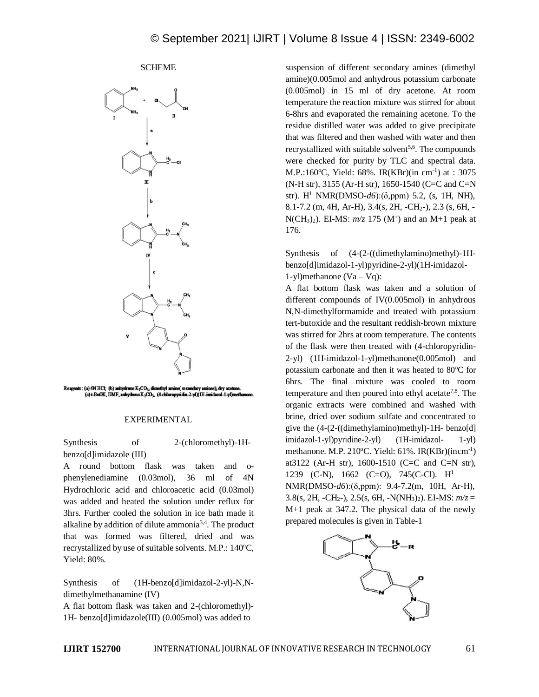# **SCHEME**



Reagents: (a) 4N HCl; (b) anhydrous K<sub>2</sub>CO<sub>3</sub>, dir hyl am s), dry ac (c) t-BuOK, DMF, anhydrous K<sub>2</sub>CO<sub>3</sub>, (4-chloropyridin-2-yl)(1H-imidazol-1-yl)n

## EXPERIMENTAL

Synthesis of 2-(chloromethyl)-1Hbenzo[d]imidazole (III)

A round bottom flask was taken and ophenylenediamine (0.03mol), 36 ml of 4N Hydrochloric acid and chloroacetic acid (0.03mol) was added and heated the solution under reflux for 3hrs. Further cooled the solution in ice bath made it alkaline by addition of dilute ammonia<sup>3,4</sup>. The product that was formed was filtered, dried and was recrystallized by use of suitable solvents. M.P.: 140°C, Yield: 80%.

Synthesis of  $(1H$ -benzo[d]imidazol-2-yl)-N,Ndimethylmethanamine (IV)

A flat bottom flask was taken and 2-(chloromethyl)- 1H- benzo[d]imidazole(III) (0.005mol) was added to

suspension of different secondary amines (dimethyl amine)(0.005mol and anhydrous potassium carbonate (0.005mol) in 15 ml of dry acetone. At room temperature the reaction mixture was stirred for about 6-8hrs and evaporated the remaining acetone. To the residue distilled water was added to give precipitate that was filtered and then washed with water and then recrystallized with suitable solvent<sup>5,6</sup>. The compounds were checked for purity by TLC and spectral data. M.P.:160°C, Yield: 68%. IR(KBr)(in cm<sup>-1</sup>) at : 3075 (N-H str), 3155 (Ar-H str), 1650-1540 (C=C and C=N str). H<sup>1</sup> NMR(DMSO-*d6*):(δ,ppm) 5.2, (s, 1H, NH), 8.1-7.2 (m, 4H, Ar-H), 3.4(s, 2H, -CH2-), 2.3 (s, 6H, -  $N(CH_3)_2$ ). EI-MS:  $m/z$  175 (M<sup>+</sup>) and an M+1 peak at 176.

Synthesis of (4-(2-((dimethylamino)methyl)-1Hbenzo[d]imidazol-1-yl)pyridine-2-yl)(1H-imidazol-1-yl)methanone  $(Va - Vq)$ :

A flat bottom flask was taken and a solution of different compounds of IV(0.005mol) in anhydrous N,N-dimethylformamide and treated with potassium tert-butoxide and the resultant reddish-brown mixture was stirred for 2hrs at room temperature. The contents of the flask were then treated with (4-chloropyridin-2-yl) (1H-imidazol-1-yl)methanone(0.005mol) and potassium carbonate and then it was heated to  $80^{\circ}$ C for 6hrs. The final mixture was cooled to room temperature and then poured into ethyl acetate<sup>7,8</sup>. The organic extracts were combined and washed with brine, dried over sodium sulfate and concentrated to give the (4-(2-((dimethylamino)methyl)-1H- benzo[d] imidazol-1-yl)pyridine-2-yl) (1H-imidazol- 1-yl) methanone. M.P. 210 $\textdegree$ C. Yield: 61%. IR(KBr)(incm<sup>-1</sup>) at3122 (Ar-H str), 1600-1510 (C=C and C=N str), 1239 (C-N), 1662 (C=O), 745(C-Cl). H<sup>1</sup> NMR(DMSO-*d6*):(δ,ppm): 9.4-7.2(m, 10H, Ar-H), 3.8(s, 2H, -CH<sub>2</sub>-), 2.5(s, 6H, -N(NH<sub>3</sub>)<sub>2</sub>). EI-MS:  $m/z =$ M+1 peak at 347.2. The physical data of the newly prepared molecules is given in Table-1

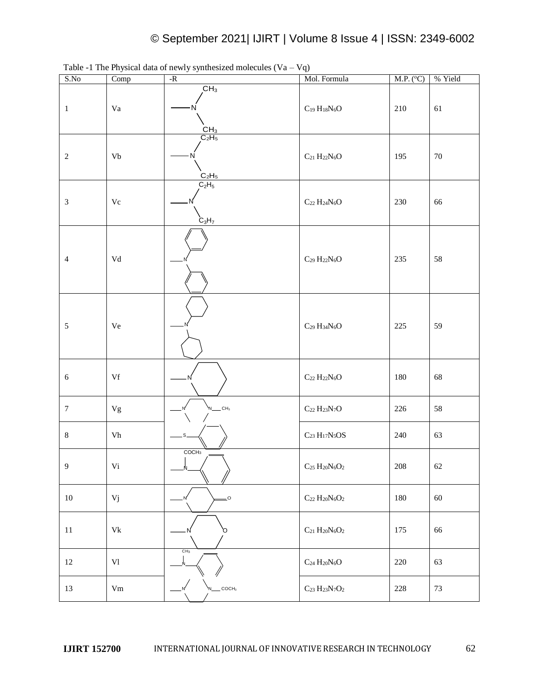| S.No                        | Comp        | $-R$                                                                | Mol. Formula                                                   | M.P. (°C) | % Yield |
|-----------------------------|-------------|---------------------------------------------------------------------|----------------------------------------------------------------|-----------|---------|
| $\mathbf{1}$                | Va          | CH <sub>3</sub><br>N<br>$\frac{\overline{CH}_3}{\overline{C}_2H_5}$ | $\mathrm{C}_{19} \, \mathrm{H}_{18} \mathrm{N}_{6} \mathrm{O}$ | 210       | 61      |
| $\sqrt{2}$                  | Vb          | $C_2H_5$                                                            | $\rm{C_{21}}$ $\rm{H_{22}N_6O}$                                | 195       | $70\,$  |
| $\boldsymbol{\mathfrak{Z}}$ | $\rm Vc$    | $C_2H_5$<br>$C_3H_7$                                                | $\rm{C}_{22}$ $\rm{H}_{24}N_6O$                                | 230       | 66      |
| $\overline{4}$              | Vd          |                                                                     | $C_{29} H_{22}N_6O$                                            | 235       | 58      |
| $\sqrt{5}$                  | $\rm{Ve}$   |                                                                     | $C_{29}$ $H_{34}N_6O$                                          | 225       | 59      |
| $\sqrt{6}$                  | Vf          |                                                                     | $\rm{C}_{22}$ $\rm{H}_{22}N_{6}O$                              | 180       | 68      |
| $\boldsymbol{7}$            | ${\rm Vg}$  | $\overline{\phantom{a}}$ CH <sub>3</sub>                            | $\rm{C}_{22}$ $\rm{H}_{23}N_7O$                                | 226       | $58\,$  |
| $\,8$                       | ${\rm Vh}$  |                                                                     | $\rm{C}_{23}$ $\rm{H}_{17}N_{5}OS$                             | 240       | 63      |
| $\overline{9}$              | Vi          | COCH <sub>3</sub>                                                   | $\rm{C}_{25}~\rm{H}_{20}N_6O_2$                                | $208\,$   | $62\,$  |
| $10\,$                      | Vj          | $\overline{\phantom{0}}^{\circ}$<br>N                               | $\rm{C}_{22}$ $\rm{H}_{20}N_6O_2$                              | 180       | $60\,$  |
| $11\,$                      | $\rm{Vk}$   | Ο                                                                   | $\rm{C}_{21}$ $\rm{H}_{20}N_6O_2$                              | 175       | 66      |
| $12\,$                      | $\mbox{VI}$ | CH <sub>3</sub>                                                     | $\rm{C}_{24}$ $\rm{H}_{20}N_6O$                                | $220\,$   | 63      |
| 13                          | $\rm Vm$    | COCH <sub>3</sub>                                                   | $\rm{C}_{23}$ $\rm{H}_{23}N_7O_2$                              | $228\,$   | $73\,$  |

Table -1 The Physical data of newly synthesized molecules  $(Va - Vq)$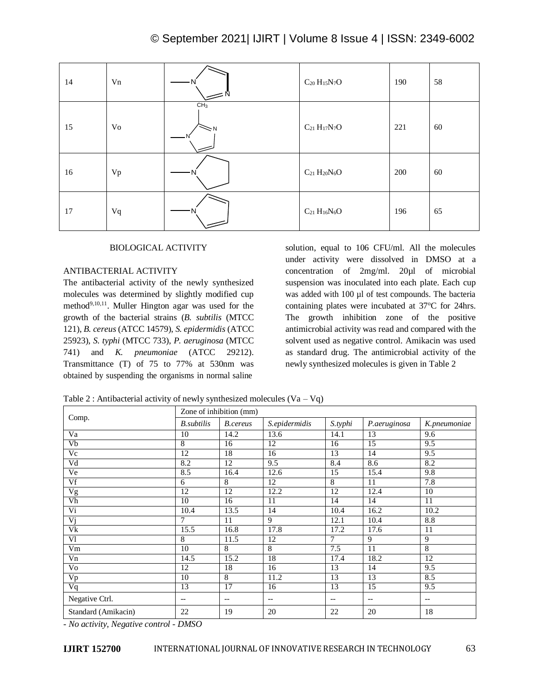| 14 | Vn |                             | $\mathrm{C}_{20}$ $\mathrm{H}_{15}\mathrm{N}_{7}\mathrm{O}$ | 190 | 58 |
|----|----|-----------------------------|-------------------------------------------------------------|-----|----|
| 15 | Vo | CH <sub>3</sub><br>$\leq$ N | $\rm{C_{21}}$ $\rm{H_{17}N_{7}O}$                           | 221 | 60 |
| 16 | Vp |                             | $\rm{C}_{21}$ $\rm{H}_{20}N_{6}O$                           | 200 | 60 |
| 17 | Vq |                             | $C_{21}$ $H_{16}N_6O$                                       | 196 | 65 |

## BIOLOGICAL ACTIVITY

# ANTIBACTERIAL ACTIVITY

The antibacterial activity of the newly synthesized molecules was determined by slightly modified cup method<sup>9,10,11</sup>. Muller Hington agar was used for the growth of the bacterial strains (*B. subtilis* (MTCC 121), *B. cereus* (ATCC 14579), *S. epidermidis* (ATCC 25923), *S. typhi* (MTCC 733), *P. aeruginosa* (MTCC 741) and *K. pneumoniae* (ATCC 29212). Transmittance (T) of 75 to 77% at 530nm was obtained by suspending the organisms in normal saline

solution, equal to 106 CFU/ml. All the molecules under activity were dissolved in DMSO at a concentration of 2mg/ml. 20µl of microbial suspension was inoculated into each plate. Each cup was added with 100 µl of test compounds. The bacteria containing plates were incubated at  $37^{\circ}$ C for 24hrs. The growth inhibition zone of the positive antimicrobial activity was read and compared with the solvent used as negative control. Amikacin was used as standard drug. The antimicrobial activity of the newly synthesized molecules is given in Table 2

Table 2 : Antibacterial activity of newly synthesized molecules  $(Va - Vq)$ 

|                     | Zone of inhibition (mm) |                                       |                          |         |                          |                          |
|---------------------|-------------------------|---------------------------------------|--------------------------|---------|--------------------------|--------------------------|
| Comp.               | <b>B</b> .subtilis      | B.cereus                              | S.epidermidis            | S.typhi | P.aeruginosa             | K.pneumoniae             |
| Va                  | 10                      | 14.2                                  | 13.6                     | 14.1    | 13                       | 9.6                      |
| Vb                  | 8                       | 16                                    | 12                       | 16      | 15                       | 9.5                      |
| Vc                  | 12                      | 18                                    | 16                       | 13      | 14                       | 9.5                      |
| Vd                  | 8.2                     | 12                                    | 9.5                      | 8.4     | 8.6                      | 8.2                      |
| Ve                  | 8.5                     | 16.4                                  | 12.6                     | 15      | 15.4                     | 9.8                      |
| Vf                  | 6                       | 8                                     | 12                       | 8       | 11                       | 7.8                      |
| Vg                  | 12                      | 12                                    | 12.2                     | 12      | 12.4                     | 10                       |
| V <sub>h</sub>      | 10                      | 16                                    | 11                       | 14      | 14                       | 11                       |
| Vi                  | 10.4                    | 13.5                                  | 14                       | 10.4    | 16.2                     | 10.2                     |
| $\overline{Vj}$     | 7                       | 11                                    | 9                        | 12.1    | 10.4                     | 8.8                      |
| Vk                  | 15.5                    | 16.8                                  | 17.8                     | 17.2    | 17.6                     | 11                       |
| V1                  | 8                       | 11.5                                  | 12                       | 7       | 9                        | 9                        |
| Vm                  | 10                      | 8                                     | 8                        | 7.5     | 11                       | $\overline{8}$           |
| Vn                  | 14.5                    | 15.2                                  | 18                       | 17.4    | 18.2                     | 12                       |
| Vo                  | 12                      | 18                                    | 16                       | 13      | 14                       | 9.5                      |
| Vp                  | 10                      | 8                                     | 11.2                     | 13      | 13                       | 8.5                      |
| Vq                  | 13                      | 17                                    | 16                       | 13      | 15                       | 9.5                      |
| Negative Ctrl.      | $-$                     | $\hspace{0.05cm}$ – $\hspace{0.05cm}$ | $\overline{\phantom{a}}$ | --      | $\overline{\phantom{a}}$ | $\overline{\phantom{a}}$ |
| Standard (Amikacin) | 22                      | 19                                    | 20                       | 22      | 20                       | 18                       |

*- No activity, Negative control - DMSO*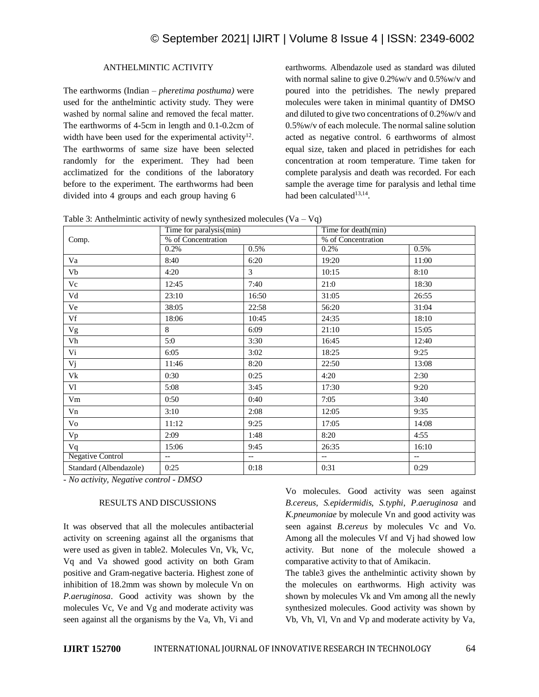# ANTHELMINTIC ACTIVITY

The earthworms (Indian – *pheretima posthuma)* were used for the anthelmintic activity study. They were washed by normal saline and removed the fecal matter. The earthworms of 4-5cm in length and 0.1-0.2cm of width have been used for the experimental activity<sup>12</sup>. The earthworms of same size have been selected randomly for the experiment. They had been acclimatized for the conditions of the laboratory before to the experiment. The earthworms had been divided into 4 groups and each group having 6

earthworms. Albendazole used as standard was diluted with normal saline to give 0.2%w/v and 0.5%w/v and poured into the petridishes. The newly prepared molecules were taken in minimal quantity of DMSO and diluted to give two concentrations of 0.2%w/v and 0.5%w/v of each molecule. The normal saline solution acted as negative control. 6 earthworms of almost equal size, taken and placed in petridishes for each concentration at room temperature. Time taken for complete paralysis and death was recorded. For each sample the average time for paralysis and lethal time had been calculated<sup>13,14</sup>.

Table 3: Anthelmintic activity of newly synthesized molecules  $(Va - Vq)$ 

|                         | $\sim$ $\sim$<br>Time for paralysis(min) |                          | Time for $\overline{death(min)}$ |                          |  |
|-------------------------|------------------------------------------|--------------------------|----------------------------------|--------------------------|--|
| Comp.                   | % of Concentration                       |                          | % of Concentration               |                          |  |
|                         | 0.2%                                     | 0.5%                     | 0.2%                             | 0.5%                     |  |
| Va                      | 8:40                                     | 6:20                     | 19:20                            | 11:00                    |  |
| Vb                      | 4:20                                     | 3                        | 10:15                            | 8:10                     |  |
| Vc                      | 12:45                                    | 7:40                     | 21:0                             | 18:30                    |  |
| Vd                      | 23:10                                    | 16:50                    | 31:05                            | 26:55                    |  |
| Ve                      | 38:05                                    | 22:58                    | 56:20                            | 31:04                    |  |
| Vf                      | 18:06                                    | 10:45                    | 24:35                            | 18:10                    |  |
| $_{\rm Vg}$             | 8                                        | 6:09                     | 21:10                            | 15:05                    |  |
| $\operatorname{Vh}$     | 5:0                                      | 3:30                     | 16:45                            | 12:40                    |  |
| Vi                      | 6:05                                     | 3:02                     | 18:25                            | 9:25                     |  |
| Vj                      | 11:46                                    | 8:20                     | 22:50                            | 13:08                    |  |
| Vk                      | 0:30                                     | 0:25                     | 4:20                             | 2:30                     |  |
| Vl                      | 5:08                                     | 3:45                     | 17:30                            | 9:20                     |  |
| Vm                      | 0:50                                     | 0:40                     | 7:05                             | 3:40                     |  |
| Vn                      | 3:10                                     | 2:08                     | 12:05                            | 9:35                     |  |
| Vo                      | 11:12                                    | 9:25                     | 17:05                            | 14:08                    |  |
| Vp                      | 2:09                                     | 1:48                     | 8:20                             | 4:55                     |  |
| Vq                      | 15:06                                    | 9:45                     | 26:35                            | 16:10                    |  |
| <b>Negative Control</b> | $\overline{\phantom{a}}$                 | $\overline{\phantom{a}}$ | $- -$                            | $\overline{\phantom{a}}$ |  |
| Standard (Albendazole)  | 0:25                                     | 0:18                     | 0:31                             | 0:29                     |  |

*- No activity, Negative control - DMSO*

# RESULTS AND DISCUSSIONS

It was observed that all the molecules antibacterial activity on screening against all the organisms that were used as given in table2. Molecules Vn, Vk, Vc, Vq and Va showed good activity on both Gram positive and Gram-negative bacteria. Highest zone of inhibition of 18.2mm was shown by molecule Vn on *P.aeruginosa*. Good activity was shown by the molecules Vc, Ve and Vg and moderate activity was seen against all the organisms by the Va, Vh, Vi and

Vo molecules. Good activity was seen against *B.cereus, S.epidermidis, S.typhi*, *P.aeruginosa* and *K.pneumoniae* by molecule Vn and good activity was seen against *B.cereus* by molecules Vc and Vo. Among all the molecules Vf and Vj had showed low activity. But none of the molecule showed a comparative activity to that of Amikacin.

The table3 gives the anthelmintic activity shown by the molecules on earthworms. High activity was shown by molecules Vk and Vm among all the newly synthesized molecules. Good activity was shown by Vb, Vh, Vl, Vn and Vp and moderate activity by Va,